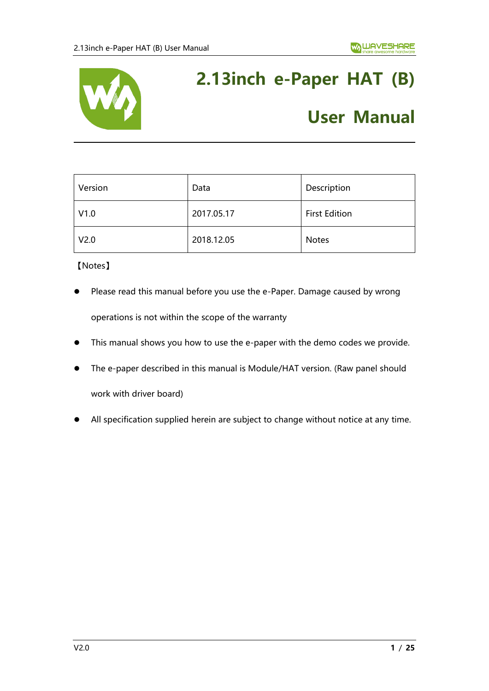

# **2.13inch e-Paper HAT (B)**

# **User Manual**

| Version          | Data       | Description          |
|------------------|------------|----------------------|
| V1.0             | 2017.05.17 | <b>First Edition</b> |
| V <sub>2.0</sub> | 2018.12.05 | <b>Notes</b>         |

【Notes】

- Please read this manual before you use the e-Paper. Damage caused by wrong operations is not within the scope of the warranty
- ⚫ This manual shows you how to use the e-paper with the demo codes we provide.
- The e-paper described in this manual is Module/HAT version. (Raw panel should work with driver board)
- ⚫ All specification supplied herein are subject to change without notice at any time.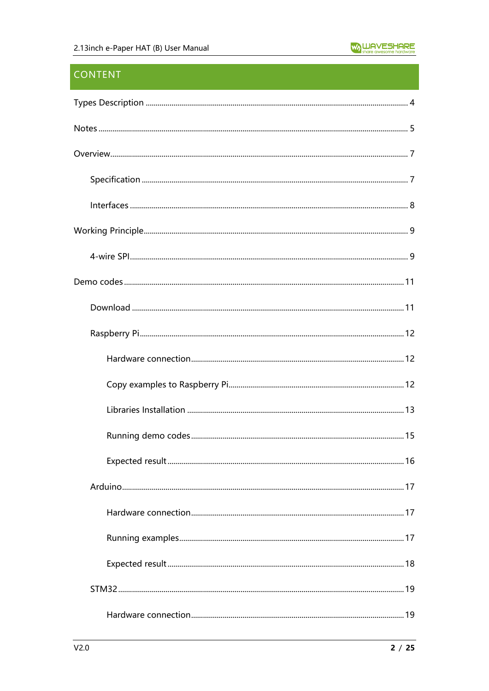# **CONTENT**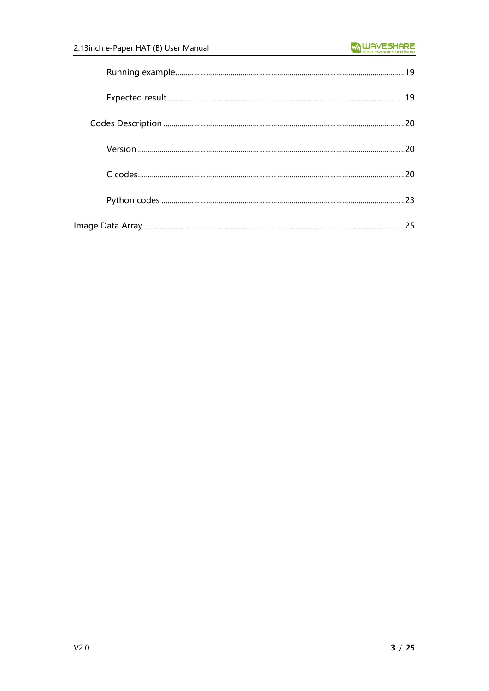| 25 |
|----|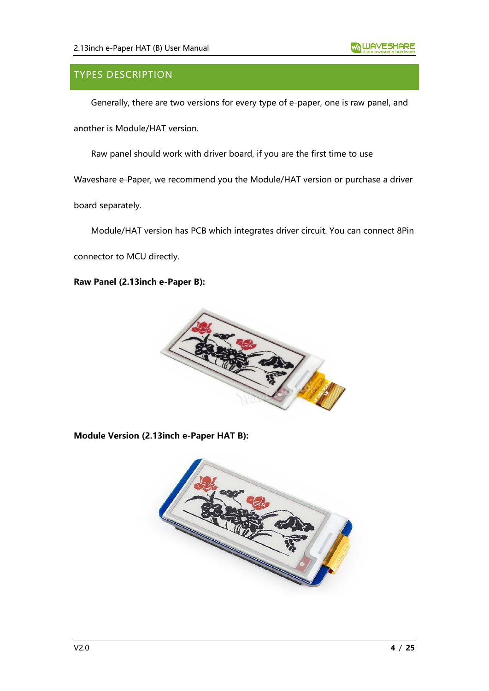# <span id="page-3-0"></span>TYPES DESCRIPTION

Generally, there are two versions for every type of e-paper, one is raw panel, and

another is Module/HAT version.

Raw panel should work with driver board, if you are the first time to use

Waveshare e-Paper, we recommend you the Module/HAT version or purchase a driver

board separately.

Module/HAT version has PCB which integrates driver circuit. You can connect 8Pin

connector to MCU directly.

**Raw Panel (2.13inch e-Paper B):**



**Module Version (2.13inch e-Paper HAT B):**

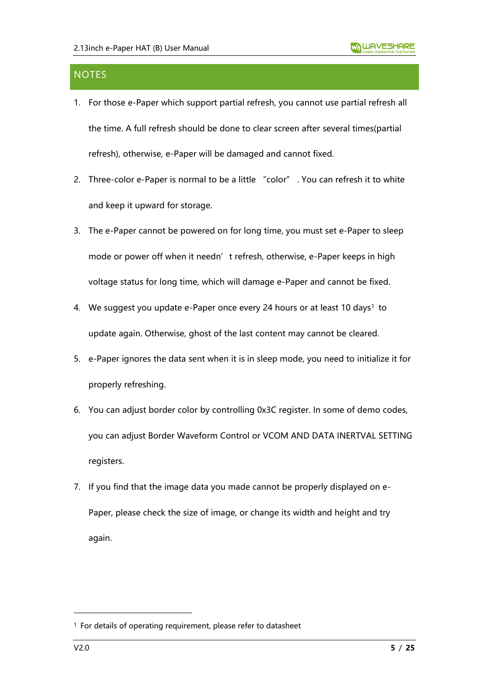# <span id="page-4-0"></span>**NOTES**

- 1. For those e-Paper which support partial refresh, you cannot use partial refresh all the time. A full refresh should be done to clear screen after several times(partial refresh), otherwise, e-Paper will be damaged and cannot fixed.
- 2. Three-color e-Paper is normal to be a little "color" . You can refresh it to white and keep it upward for storage.
- 3. The e-Paper cannot be powered on for long time, you must set e-Paper to sleep mode or power off when it needn't refresh, otherwise, e-Paper keeps in high voltage status for long time, which will damage e-Paper and cannot be fixed.
- 4. We suggest you update e-Paper once every 24 hours or at least 10 days<sup>1</sup> to update again. Otherwise, ghost of the last content may cannot be cleared.
- 5. e-Paper ignores the data sent when it is in sleep mode, you need to initialize it for properly refreshing.
- 6. You can adjust border color by controlling 0x3C register. In some of demo codes, you can adjust Border Waveform Control or VCOM AND DATA INERTVAL SETTING registers.
- 7. If you find that the image data you made cannot be properly displayed on e-Paper, please check the size of image, or change its width and height and try again.

<sup>1</sup> For details of operating requirement, please refer to datasheet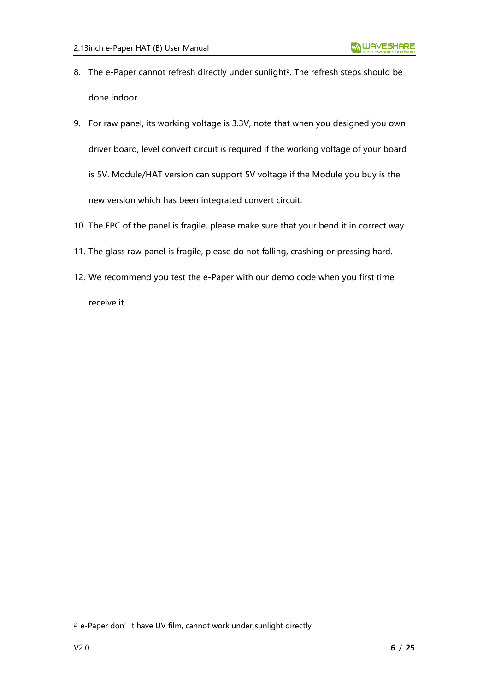- 8. The e-Paper cannot refresh directly under sunlight<sup>2</sup>. The refresh steps should be done indoor
- 9. For raw panel, its working voltage is 3.3V, note that when you designed you own driver board, level convert circuit is required if the working voltage of your board is 5V. Module/HAT version can support 5V voltage if the Module you buy is the new version which has been integrated convert circuit.
- 10. The FPC of the panel is fragile, please make sure that your bend it in correct way.
- 11. The glass raw panel is fragile, please do not falling, crashing or pressing hard.
- 12. We recommend you test the e-Paper with our demo code when you first time receive it.

<sup>&</sup>lt;sup>2</sup> e-Paper don't have UV film, cannot work under sunlight directly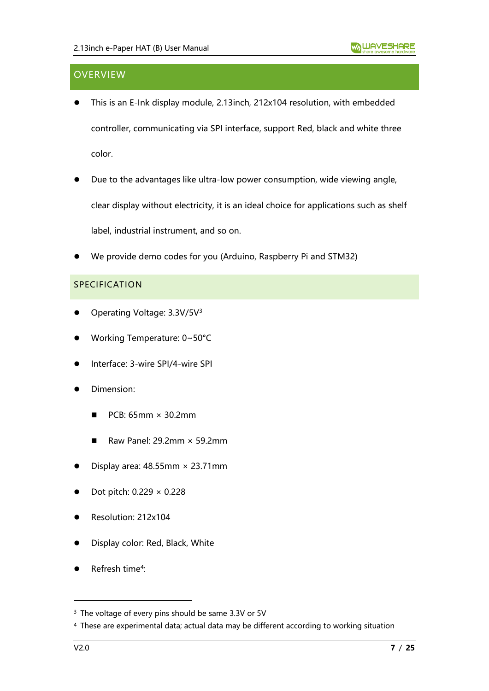# <span id="page-6-0"></span>**OVERVIEW**

- This is an E-Ink display module, 2.13inch, 212x104 resolution, with embedded controller, communicating via SPI interface, support Red, black and white three color.
- Due to the advantages like ultra-low power consumption, wide viewing angle, clear display without electricity, it is an ideal choice for applications such as shelf label, industrial instrument, and so on.
- ⚫ We provide demo codes for you (Arduino, Raspberry Pi and STM32)

#### <span id="page-6-1"></span>SPECIFICATION

- Operating Voltage: 3.3V/5V<sup>3</sup>
- ⚫ Working Temperature: 0~50°C
- ⚫ Interface: 3-wire SPI/4-wire SPI
- ⚫ Dimension:
	- $\blacksquare$  PCB: 65mm  $\times$  30.2mm
	- Raw Panel: 29.2mm  $\times$  59.2mm
- Display area:  $48.55$ mm  $\times$  23.71mm
- ⚫ Dot pitch: 0.229 × 0.228
- ⚫ Resolution: 212x104
- ⚫ Display color: Red, Black, White
- Refresh time<sup>4</sup>:

<sup>&</sup>lt;sup>3</sup> The voltage of every pins should be same 3.3V or 5V

<sup>4</sup> These are experimental data; actual data may be different according to working situation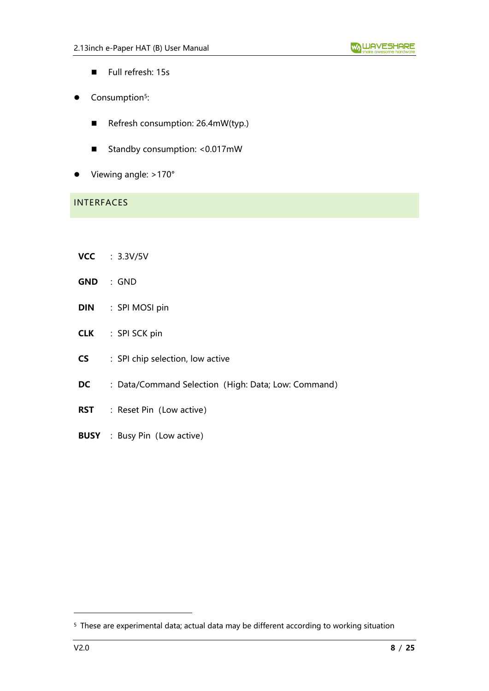- Full refresh: 15s
- Consumption<sup>5</sup>:
	- Refresh consumption: 26.4mW(typ.)
	- Standby consumption: <0.017mW
- Viewing angle: >170°

# <span id="page-7-0"></span>INTERFACES

- **VCC** :3.3V/5V
- **GND** :GND
- **DIN** : SPI MOSI pin
- **CLK** : SPI SCK pin
- **CS** : SPI chip selection, low active
- **DC** : Data/Command Selection (High: Data; Low: Command)
- **RST** : Reset Pin (Low active)
- **BUSY** : Busy Pin (Low active)

<sup>5</sup> These are experimental data; actual data may be different according to working situation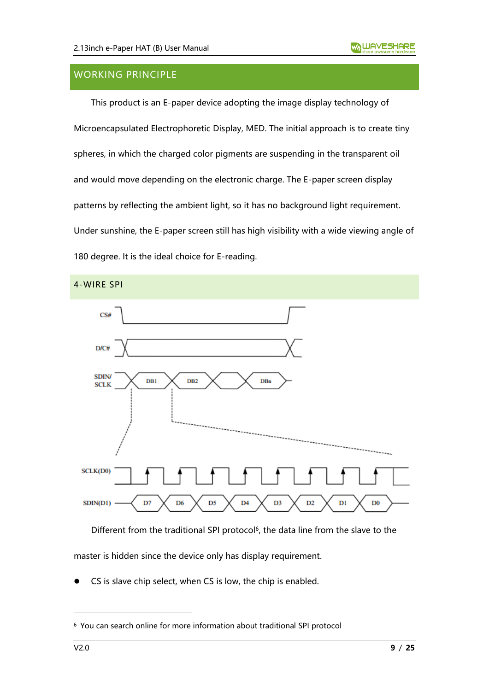# <span id="page-8-0"></span>WORKING PRINCIPLE

This product is an E-paper device adopting the image display technology of Microencapsulated Electrophoretic Display, MED. The initial approach is to create tiny spheres, in which the charged color pigments are suspending in the transparent oil and would move depending on the electronic charge. The E-paper screen display patterns by reflecting the ambient light, so it has no background light requirement. Under sunshine, the E-paper screen still has high visibility with a wide viewing angle of 180 degree. It is the ideal choice for E-reading.

<span id="page-8-1"></span>

Different from the traditional SPI protocol<sup>6</sup>, the data line from the slave to the master is hidden since the device only has display requirement.

CS is slave chip select, when CS is low, the chip is enabled.

<sup>6</sup> You can search online for more information about traditional SPI protocol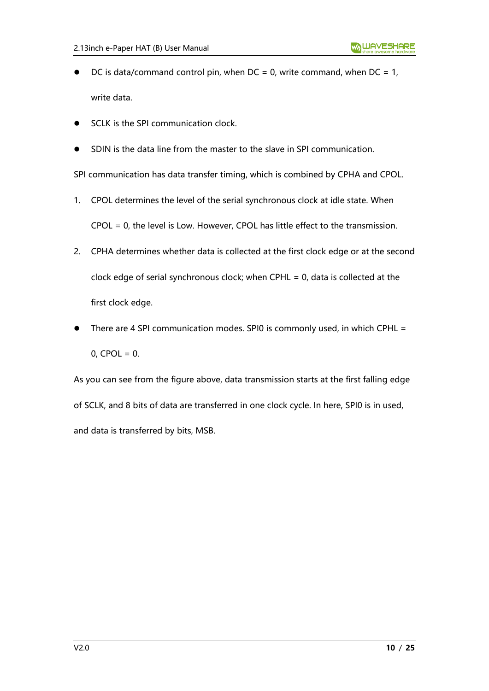- DC is data/command control pin, when  $DC = 0$ , write command, when  $DC = 1$ , write data.
- SCLK is the SPI communication clock.
- SDIN is the data line from the master to the slave in SPI communication.

SPI communication has data transfer timing, which is combined by CPHA and CPOL.

- 1. CPOL determines the level of the serial synchronous clock at idle state. When CPOL = 0, the level is Low. However, CPOL has little effect to the transmission.
- 2. CPHA determines whether data is collected at the first clock edge or at the second clock edge of serial synchronous clock; when CPHL = 0, data is collected at the first clock edge.
- There are 4 SPI communication modes. SPI0 is commonly used, in which CPHL =  $0,$  CPOL = 0.

As you can see from the figure above, data transmission starts at the first falling edge of SCLK, and 8 bits of data are transferred in one clock cycle. In here, SPI0 is in used, and data is transferred by bits, MSB.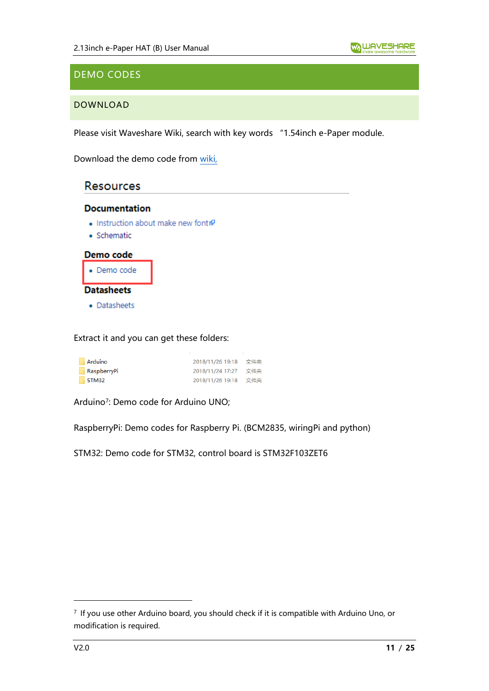# <span id="page-10-0"></span>DEMO CODES

## <span id="page-10-1"></span>DOWNLOAD

Please visit Waveshare Wiki, search with key words "1.54inch e-Paper module.

Download the demo code from [wiki,](https://www.waveshare.com/wiki/2.13inch_e-Paper_HAT_(B))

# **Resources**

#### **Documentation**

- Instruction about make new font
- · Schematic



Extract it and you can get these folders:

| Arduino     | 2018/11/26 19:18 文件夹 |     |
|-------------|----------------------|-----|
| RaspberryPi | 2018/11/24 17:27     | 文件夹 |
| STM32       | 2018/11/26 19:18 文件夹 |     |

Arduino<sup>7</sup> : Demo code for Arduino UNO;

RaspberryPi: Demo codes for Raspberry Pi. (BCM2835, wiringPi and python)

STM32: Demo code for STM32, control board is STM32F103ZET6

<sup>7</sup> If you use other Arduino board, you should check if it is compatible with Arduino Uno, or modification is required.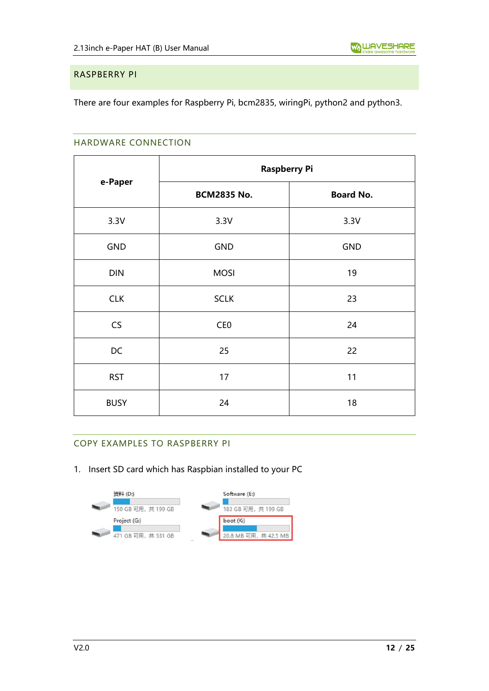#### <span id="page-11-0"></span>RASPBERRY PI

<span id="page-11-1"></span>There are four examples for Raspberry Pi, bcm2835, wiringPi, python2 and python3.

#### HARDWARE CONNECTION

|             | <b>Raspberry Pi</b> |                  |  |
|-------------|---------------------|------------------|--|
| e-Paper     | <b>BCM2835 No.</b>  | <b>Board No.</b> |  |
| 3.3V        | 3.3V                | 3.3V             |  |
| <b>GND</b>  | <b>GND</b>          | <b>GND</b>       |  |
| <b>DIN</b>  | <b>MOSI</b>         | 19               |  |
| <b>CLK</b>  | <b>SCLK</b>         | 23               |  |
| CS          | CE <sub>0</sub>     | 24               |  |
| DC          | 25                  | 22               |  |
| <b>RST</b>  | 17                  | 11               |  |
| <b>BUSY</b> | 24                  | 18               |  |

## <span id="page-11-2"></span>COPY EXAMPLES TO RASPBERRY PI

1. Insert SD card which has Raspbian installed to your PC

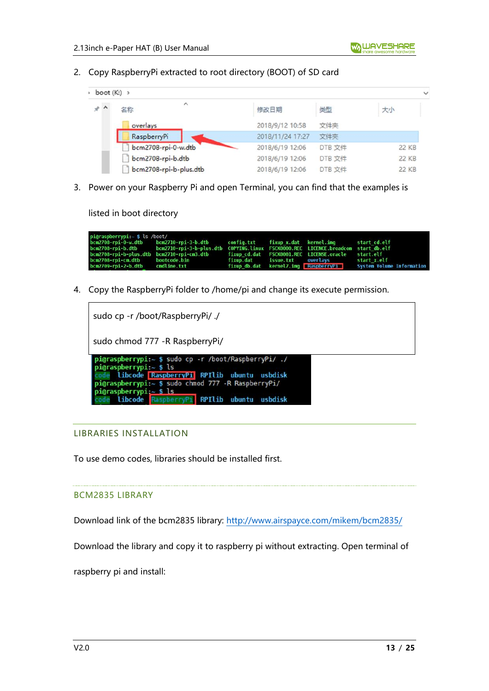2. Copy RaspberryPi extracted to root directory (BOOT) of SD card

| $\rightarrow$ boot (K:) $\rightarrow$ |                           |                  |        |              |
|---------------------------------------|---------------------------|------------------|--------|--------------|
| $*$ ^                                 | $\hat{\phantom{a}}$<br>名称 | 修改日期             | 类型     | 大小           |
|                                       | overlays                  | 2018/9/12 10:58  | 文件夹    |              |
|                                       | RaspberryPi               | 2018/11/24 17:27 | 文件夹    |              |
|                                       | bcm2708-rpi-0-w.dtb       | 2018/6/19 12:06  | DTB 文件 | 22 KB        |
|                                       | bcm2708-rpi-b.dtb         | 2018/6/19 12:06  | DTB 文件 | <b>22 KB</b> |
|                                       | bcm2708-rpi-b-plus.dtb    | 2018/6/19 12:06  | DTB 文件 | 22 KB        |

3. Power on your Raspberry Pi and open Terminal, you can find that the examples is

listed in boot directory

| pi@raspberrypi:~ \$ ls /boot/   |                                                                                                    |  |                                          |                                                                |
|---------------------------------|----------------------------------------------------------------------------------------------------|--|------------------------------------------|----------------------------------------------------------------|
|                                 | bcm2708-rpi-0-w.dtb bcm2710-rpi-3-b.dtb config.txt fixup_x.dat kernel.img start_cd.elf             |  |                                          |                                                                |
|                                 | bcm2708-rpi-b.dtb bcm2710-rpi-3-b-plus.dtb COPYING.linux FSCK0000.REC LICENCE.broadcom startdb.elf |  |                                          |                                                                |
|                                 | bcm2708-rpi-b-plus.dtb bcm2710-rpi-cm3.dtb fixup cd.dat FSCK0001.REC LICENSE.oracle start.elf      |  |                                          |                                                                |
| bcm2708-rpi-cm.dtb bootcode.bin |                                                                                                    |  | fixup.dat issue.txt overlavs startːx.elf |                                                                |
| bcm2709-rpi-2-b.dtb cmdline.txt |                                                                                                    |  |                                          | fixup db.dat kernel7.imq RaspberryPi System Volume Information |

4. Copy the RaspberryPi folder to /home/pi and change its execute permission.

| sudo cp -r /boot/RaspberryPi/ ./                                                                                                                                                                                                                                                 |
|----------------------------------------------------------------------------------------------------------------------------------------------------------------------------------------------------------------------------------------------------------------------------------|
| sudo chmod 777 - R RaspberryPi/                                                                                                                                                                                                                                                  |
| $pi$ graspberrypi: $\sim$ \$ sudo cp -r /boot/RaspberryPi/ ./<br>$pi$ Graspberrypi: $\sim$ \$ ls<br>libcode RaspberryPi RPIlib ubuntu usbdisk<br>pi@raspberrypi:~ \$ sudo chmod 777 -R RaspberryPi/<br>pi@raspberrypi: $\sim$ \$ ls<br>libcode RaspberryPi RPIlib ubuntu usbdisk |

#### <span id="page-12-0"></span>LIBRARIES INSTALLATION

To use demo codes, libraries should be installed first.

#### BCM2835 LIBRARY

Download link of the bcm2835 library:<http://www.airspayce.com/mikem/bcm2835/>

Download the library and copy it to raspberry pi without extracting. Open terminal of

raspberry pi and install: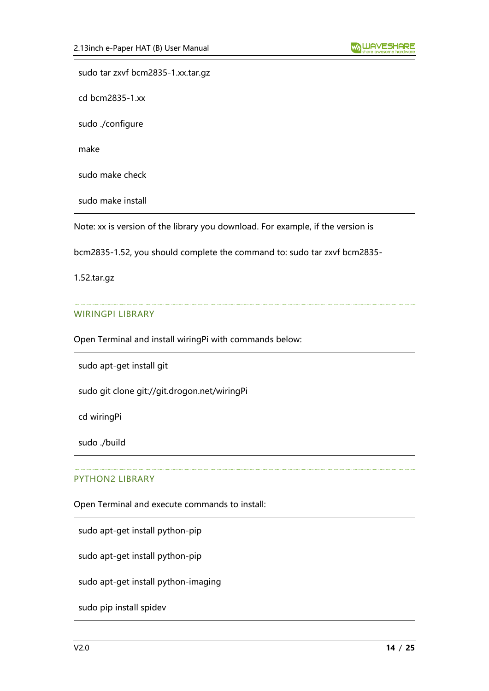sudo tar zxvf bcm2835-1.xx.tar.gz cd bcm2835-1.xx sudo ./configure make sudo make check sudo make install

Note: xx is version of the library you download. For example, if the version is

bcm2835-1.52, you should complete the command to: sudo tar zxvf bcm2835-

1.52.tar.gz

#### WIRINGPI LIBRARY

Open Terminal and install wiringPi with commands below:

sudo apt-get install git

sudo git clone git://git.drogon.net/wiringPi

cd wiringPi

sudo ./build

#### PYTHON2 LIBRARY

Open Terminal and execute commands to install:

sudo apt-get install python-pip

sudo apt-get install python-pip

sudo apt-get install python-imaging

sudo pip install spidev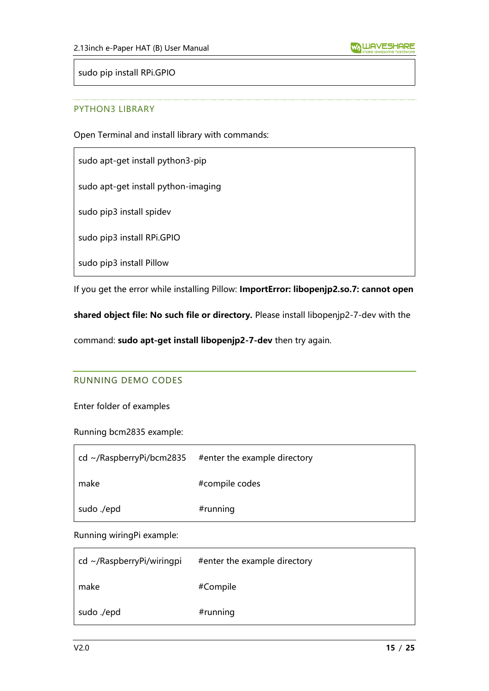sudo pip install RPi.GPIO

#### PYTHON3 LIBRARY

Open Terminal and install library with commands:

sudo apt-get install python3-pip

sudo apt-get install python-imaging

sudo pip3 install spidev

sudo pip3 install RPi.GPIO

sudo pip3 install Pillow

If you get the error while installing Pillow: **ImportError: libopenjp2.so.7: cannot open** 

**shared object file: No such file or directory.** Please install libopenjp2-7-dev with the

<span id="page-14-0"></span>command: **sudo apt-get install libopenjp2-7-dev** then try again.

#### RUNNING DEMO CODES

Enter folder of examples

Running bcm2835 example:

| $\vert$ cd ~/RaspberryPi/bcm2835 | #enter the example directory |
|----------------------------------|------------------------------|
| make                             | #compile codes               |
| sudo ./epd                       | #running                     |

Running wiringPi example:

| $cd \sim$ /RaspberryPi/wiringpi | #enter the example directory |
|---------------------------------|------------------------------|
| make                            | #Compile                     |
| sudo ./epd                      | #running                     |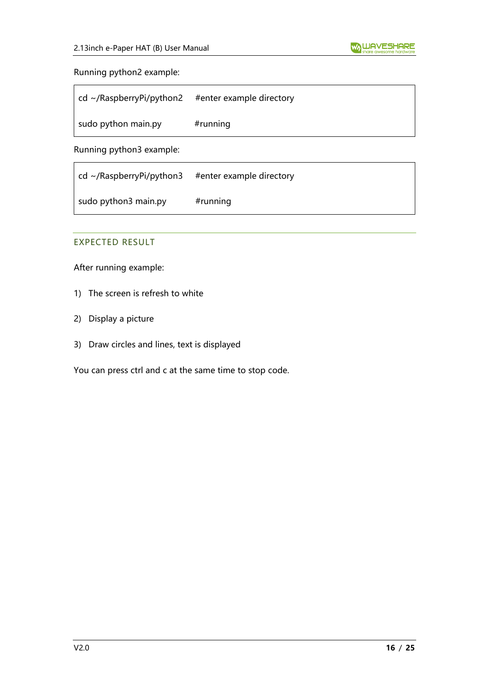#### Running python2 example:

| $\vert$ cd ~/RaspberryPi/python2 | #enter example directory |
|----------------------------------|--------------------------|
| sudo python main.py              | $#$ running              |

Running python3 example:

| $\vert$ cd ~/RaspberryPi/python3 | #enter example directory |
|----------------------------------|--------------------------|
| sudo python3 main.py             | $#$ running              |

## <span id="page-15-0"></span>EXPECTED RESULT

After running example:

- 1) The screen is refresh to white
- 2) Display a picture
- 3) Draw circles and lines, text is displayed

You can press ctrl and c at the same time to stop code.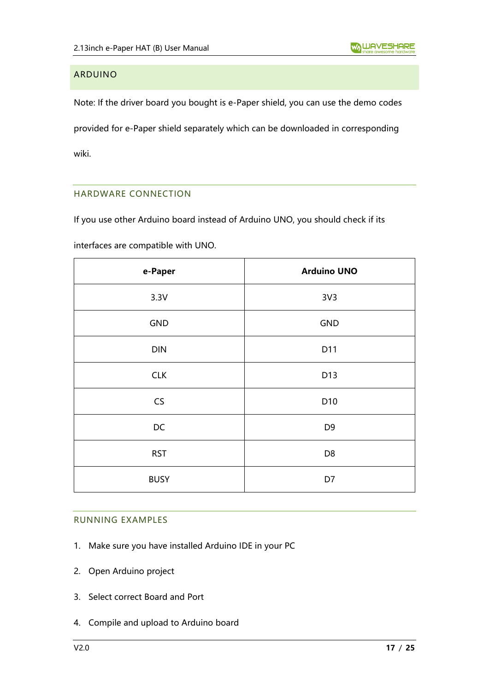# <span id="page-16-0"></span>ARDUINO

Note: If the driver board you bought is e-Paper shield, you can use the demo codes provided for e-Paper shield separately which can be downloaded in corresponding wiki.

## <span id="page-16-1"></span>HARDWARE CONNECTION

If you use other Arduino board instead of Arduino UNO, you should check if its

interfaces are compatible with UNO.

| e-Paper     | <b>Arduino UNO</b> |
|-------------|--------------------|
| 3.3V        | 3V <sub>3</sub>    |
| <b>GND</b>  | GND                |
| <b>DIN</b>  | D11                |
| <b>CLK</b>  | D13                |
| CS          | D10                |
| DC          | D <sub>9</sub>     |
| <b>RST</b>  | D <sub>8</sub>     |
| <b>BUSY</b> | D7                 |

#### <span id="page-16-2"></span>RUNNING EXAMPLES

- 1. Make sure you have installed Arduino IDE in your PC
- 2. Open Arduino project
- 3. Select correct Board and Port
- 4. Compile and upload to Arduino board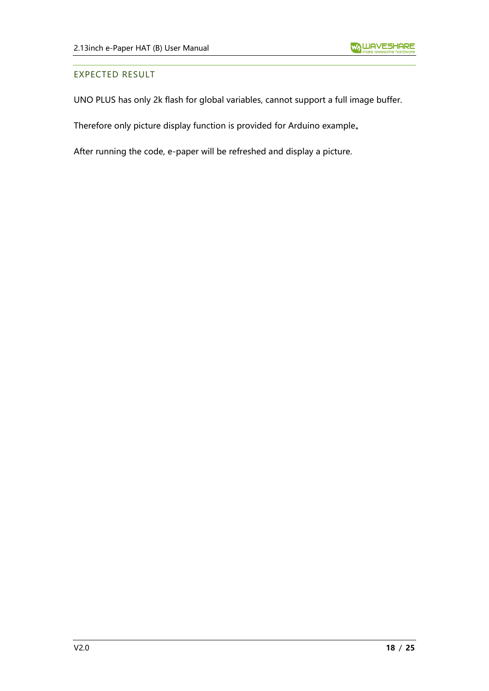#### <span id="page-17-0"></span>EXPECTED RESULT

UNO PLUS has only 2k flash for global variables, cannot support a full image buffer.

Therefore only picture display function is provided for Arduino example。

After running the code, e-paper will be refreshed and display a picture.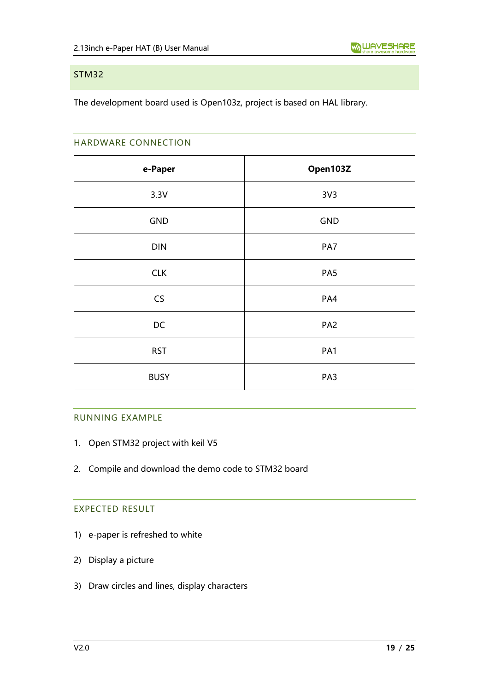#### <span id="page-18-0"></span>STM32

<span id="page-18-1"></span>The development board used is Open103z, project is based on HAL library.

#### HARDWARE CONNECTION

| e-Paper     | Open103Z        |
|-------------|-----------------|
| 3.3V        | 3V <sub>3</sub> |
| GND         | GND             |
| <b>DIN</b>  | PA7             |
| <b>CLK</b>  | PA5             |
| CS          | PA4             |
| DC          | PA <sub>2</sub> |
| <b>RST</b>  | PA1             |
| <b>BUSY</b> | PA3             |

#### <span id="page-18-2"></span>RUNNING EXAMPLE

- 1. Open STM32 project with keil V5
- <span id="page-18-3"></span>2. Compile and download the demo code to STM32 board

# EXPECTED RESULT

- 1) e-paper is refreshed to white
- 2) Display a picture
- 3) Draw circles and lines, display characters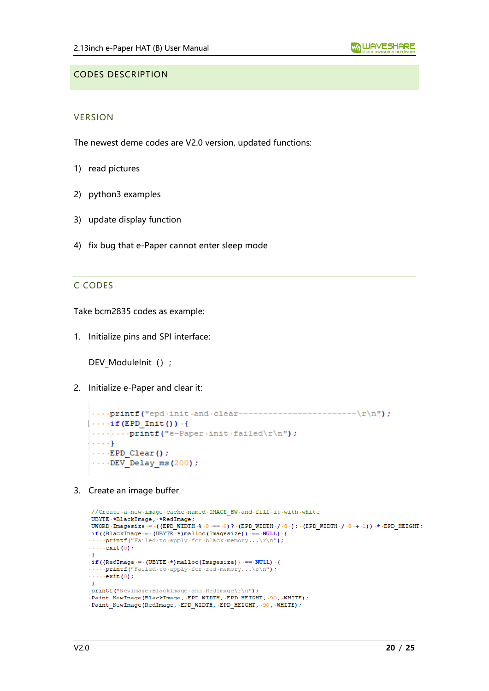#### <span id="page-19-1"></span><span id="page-19-0"></span>CODES DESCRIPTION

#### **VERSION**

The newest deme codes are V2.0 version, updated functions:

- 1) read pictures
- 2) python3 examples
- 3) update display function
- <span id="page-19-2"></span>4) fix bug that e-Paper cannot enter sleep mode

#### C CODES

Take bcm2835 codes as example:

1. Initialize pins and SPI interface:

DEV\_ModuleInit () ;

2. Initialize e-Paper and clear it:

```
\cdots if (EPD Init ()) \cdot {
\cdots ... printf("e-Paper init failed\r\n");
\{ \ldots, \}\cdots EPD Clear();
\cdotsDEV Delay ms(200);
```
3. Create an image buffer

```
-//Create-a-new-image-cache-named-IMAGE BW-and-fill-it-with-white
.UBYTE .*BlackImage, *RedImage;
-UWORD - Imagesize -= - ((EPD WIDTH - \ -8 -= -0) ? - (EPD WIDTH - / -8 -) : - (EPD WIDTH - / -8 -+ -1) ) -* -EPD HEIGHT;
\cdotif((BlackImage = \cdot(UBYTE \cdot*) malloc(Imagesize)) = \cdotNULL) \cdot{
\cdots printf ("Failed to apply for black memory...\r \n\cdot r);
\cdots exit (0);
\cdot }
\cdot if ((RedImage \cdot = \cdot (UBYTE \cdot *) malloc (Imagesize)) \cdot = \cdot NULL) \cdot {
\cdotsprintf("Failed to apply for red memory...\r\n");
\cdots exit (0) ;
\rightarrow F
\cdotprintf("NewImage:BlackImage\cdotand\cdotRedImage\r \nn");
Paint_NewImage1BlackImage+and+Acdimage(1\fi);<br>Paint_NewImage(BlackImage, EPD_WIDTH, EPD_HEIGHT, .90, WHITE);
.Paint_NewImage(RedImage, EPD_WIDTH, EPD_HEIGHT, 90, WHITE);
```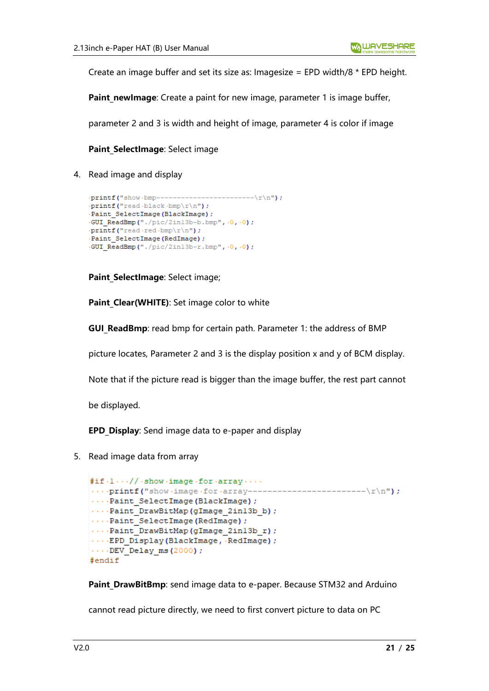Create an image buffer and set its size as: Imagesize = EPD width/8 \* EPD height.

**Paint newImage:** Create a paint for new image, parameter 1 is image buffer,

parameter 2 and 3 is width and height of image, parameter 4 is color if image

#### **Paint SelectImage: Select image**

4. Read image and display

```
------\r\nn ;
.printf("show.bmp------
\cdotprintf("read\cdotblack\cdotbmp\r \n\cdotn");
· Paint SelectImage (BlackImage) ;
\cdotGUI ReadBmp("./pic/2in13b-b.bmp",\cdot0,\cdot0);
\cdotprintf("read.red.bmp\r\n");
· Paint SelectImage (RedImage) ;
.GUI ReadBmp("./pic/2in13b-r.bmp", .0, .0);
```
Paint SelectImage: Select image;

Paint Clear(WHITE): Set image color to white

**GUI ReadBmp**: read bmp for certain path. Parameter 1: the address of BMP

picture locates, Parameter 2 and 3 is the display position x and y of BCM display.

Note that if the picture read is bigger than the image buffer, the rest part cannot

be displayed.

**EPD Display:** Send image data to e-paper and display

5. Read image data from array

```
\sharp \texttt{if} \cdot 1 \cdots / / \cdot \texttt{show} \cdot \texttt{image} \cdot \texttt{for} \cdot \texttt{array} \cdots\cdotsprintf("show\cdotimage\cdotfor\cdotarray---
                                                           --------\r\nn :
...Paint SelectImage(BlackImage);
....Paint DrawBitMap(gImage 2in13b b);
....Paint_SelectImage(RedImage);
...Paint DrawBitMap(gImage_2in13b_r);
....EPD Display(BlackImage, RedImage);
\cdots DEV Delay ms (2000);
#endif
```
**Paint DrawBitBmp**: send image data to e-paper. Because STM32 and Arduino

cannot read picture directly, we need to first convert picture to data on PC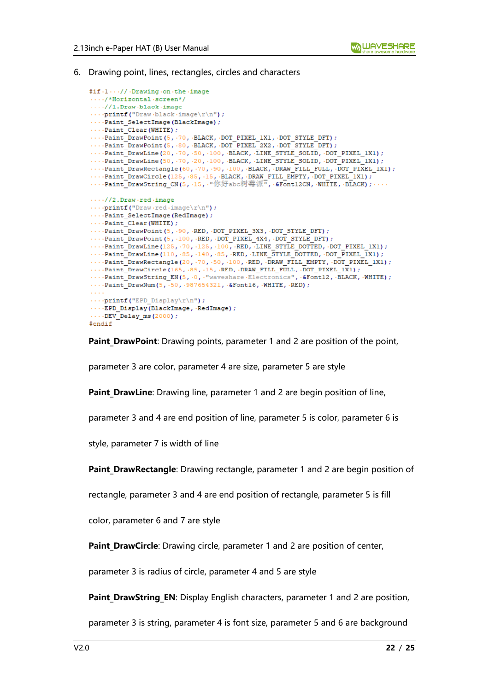6. Drawing point, lines, rectangles, circles and characters

```
#if.1..//.Drawing.on.the.image
..../*Horizontal.screen*/
\cdots//1.Draw.black.image
\cdotsprintf("Draw.black.image\r\n");
....Paint SelectImage(BlackImage);
\cdotsPaint_Clear (WHITE) ;
\cdotsPaint_DrawPoint(5, -70, BLACK, DOT_PIXEL_1X1, DOT_STYLE_DFT);
...Paint DrawPoint (5, 80, BLACK, DOT PIXEL 2X2, DOT STYLE DFT) ;
\cdotsPaint_DrawLine(20, \cdot70, \cdot50, \cdot100, \cdotBLACK, \cdotLINE_STYLE_SOLID, \cdotDOT_PIXEL_1X1);
\cdotsPaint DrawLine (50, \cdot70, \cdot20, \cdot100, \cdotBLACK, \cdotLINE STYLE SOLID, \cdotDOT PIXEL 1X1);
\cdotsPaint_DrawRectangle(60, 70, 90, 100, BLACK, DRAW_FILL_FULL, DOT_PIXEL_1X1);
\cdotsPaint_DrawCircle(125, 85, 15, BLACK, DRAW_FILL_EMPTY, DOT_PIXEL_1X1);
....Paint DrawString CN(5, .15, "你好abc树莓派", &Font12CN, WHITE, BLACK);
\cdots//2.Draw.red.image
\cdotsprintf("Draw\cdotred\cdotimage\r\n");
\cdotsPaint SelectImage (RedImage) ;
\cdotsPaint Clear (WHITE) ;
...Paint_DrawPoint(5, .90, .RED, .DOT_PIXEL_3X3, .DOT_STYLE_DFT);
\cdotsPaint_DrawPoint(5, \cdot100, \cdotRED, \cdotDOT_PIXEL_4X4, \cdotDOT_STYLE_DFT);
\cdotsPaint_DrawLine(125, \cdot70, \cdot125, \cdot100, RED, LINE_STYLE_DOTTED, \cdotDOT_PIXEL_1X1);
\cdots\cdot \mathtt{Paint\_DrawLine}\xspace\,(110\,,\, \cdot 85\,,\, \cdot 140\,,\, \cdot 85\,,\, \cdot \mathtt{RED}\xspace\,,\, \cdot \mathtt{LINE\_STYLE\_DOTTED}\xspace\,,\, \mathtt{DOT\_FIXEL\_IX1}\xspace\,)....Paint DrawRectangle(20, 70, 50, 100, RED, DRAW FILL EMPTY, DOT PIXEL 1X1);
\cdotsPaint_DrawCircle(165, \cdot85, \cdot15, \cdotRED, \cdotDRAW_FILL_FULL, \cdotDOT_PIXEL_1X1);
\cdotsPaint DrawString EN(5, 0, "waveshare Electronics", 4Font12, BLACK, WHITE);
\cdotsPaint DrawNum(5, -50, .987654321, .&Font16, .WHITE, .RED);
\sim 100 km ^{-1}\cdots-printf("EPD_Display\r\n");
\cdots EPD Display (BlackImage, RedImage) ;
\cdotsDEV_Delay_ms(2000);
#endif
```
**Paint DrawPoint:** Drawing points, parameter 1 and 2 are position of the point,

parameter 3 are color, parameter 4 are size, parameter 5 are style

**Paint DrawLine**: Drawing line, parameter 1 and 2 are begin position of line,

parameter 3 and 4 are end position of line, parameter 5 is color, parameter 6 is

style, parameter 7 is width of line

**Paint DrawRectangle**: Drawing rectangle, parameter 1 and 2 are begin position of

rectangle, parameter 3 and 4 are end position of rectangle, parameter 5 is fill

color, parameter 6 and 7 are style

**Paint DrawCircle**: Drawing circle, parameter 1 and 2 are position of center,

parameter 3 is radius of circle, parameter 4 and 5 are style

**Paint DrawString EN: Display English characters, parameter 1 and 2 are position,** 

parameter 3 is string, parameter 4 is font size, parameter 5 and 6 are background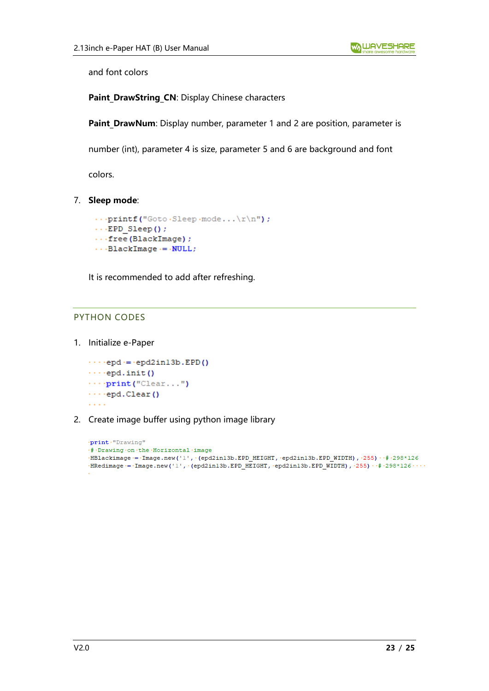and font colors

Paint DrawString CN: Display Chinese characters

**Paint DrawNum**: Display number, parameter 1 and 2 are position, parameter is

number (int), parameter 4 is size, parameter 5 and 6 are background and font

colors.

7. **Sleep mode**:

```
\cdotsprintf("Goto\cdotSleep\cdotmode...\r\n\cdot r);
\cdotsEPD Sleep();
\cdots free (BlackImage) ;
\cdotsBlackImage\cdotsNULL;
```
It is recommended to add after refreshing.

#### <span id="page-22-0"></span>PYTHON CODES

1. Initialize e-Paper

```
\cdotsepd = epd2in13b.EPD()
\cdotsepd.init()
\cdots print ("Clear...")
\cdotsepd.Clear()
```
2. Create image buffer using python image library

```
.print."Drawing"
.# Drawing .on .the .Horizontal .image
-BBbackimage := Image.new('1', (epd2in13b.EPD HEIGHT, epd2in13b.EPD WIDTH), (255) <math>+298*126HRedimage = Image.new('1', '(epd2in13b.EPD HEIGHT, 'epd2in13b.EPD WIDTH), 255) \# 298*126 \\cdot ...
```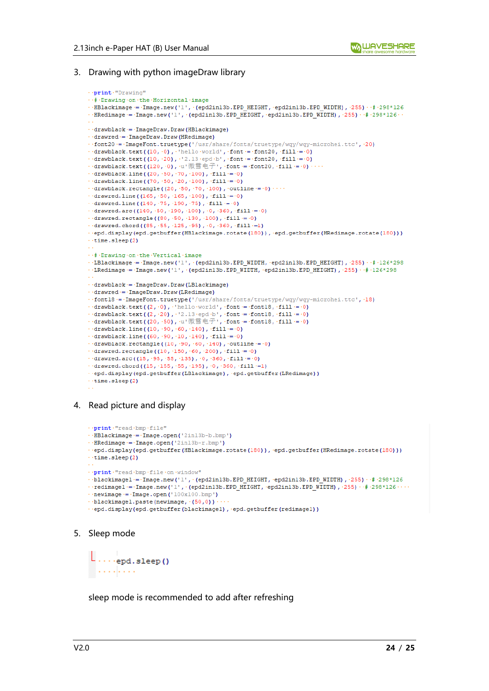#### 3. Drawing with python imageDraw library

```
.. print. "Drawing"
... # Drawing .on .the .Horizontal .image
\cdot HBlackimage = - Image.new('1', \cdot (epd2in13b.EPD HEIGHT, · epd2in13b.EPD WIDTH), ·255) \cdot \neq ·298*126
\cdot-HRedimage = -Image.new('1', (epd2in13b.EPD HEIGHT, epd2in13b.EPD WIDTH), -255) \cdot # -298*126 \cdot\cdot·drawblack·=·ImageDraw.Draw(HBlackimage)
\cdot drawred \cdot = \cdot ImageDraw. Draw (HRedimage)
\cdot font20 = ImageFont.truetype('/usr/share/fonts/truetype/wgy/wgy-microhei.ttc'.20)
\cdot\cdot\cdot\mathtt{drawblack.text}\left(\left(10\,,\,{}^{\circ}0\right)\,,\,{}^{\circ}\,\mathtt{hello\cdot world^{\circ}}\,,\,{}^{\circ}\mathtt{font} \coloneqq\cdot\mathtt{font}20\,,\,\cdot\mathtt{fill}\coloneqq\cdot0\right)\cdot·drawblack.text((10, -20), \cdot'2.13·epd·b', ·font = ·font20, ·fill = ·0)
…drawblack.text((120, 0), u'微雪电子, font = font20, fill = 0)...
\cdot\cdotdrawblack.line((20, 50, 70, 100), fill = 0)
\cdot drawblack.line((70, 50, 20, 100), fill = 0)
\cdotsdrawblack.rectangle((20, \cdot 50, \cdot 70, \cdot 100), \cdot outline = \cdot 0) \cdots\cdot drawred.line ((165, .50, .165, .100), .fill = .0)
\cdot drawred.line ((140, 75, 190, 75), fill = 0)
\cdot drawred.arc((140, 50, 190, 100), 0, 360, fill = 0)
\cdot drawred.rectangle((80, .50, .130, .100), .fill = .0)
\cdot drawred.chord((85, .55, .125, .95), .0, .360, .fill .= 1)
..epd.display(epd.getbuffer(HBlackimage.rotate(180)), epd.getbuffer(HRedimage.rotate(180)))
\cdottime.sleep(2)
... # Drawing .on .the .Vertical .image
. LBlackimage = Image.new('1', (epd2in13b.EPD WIDTH, epd2in13b.EPD HEIGHT), 255) . # 126*298
\cdot LRedimage = Image.new('1', (epd2in13b.EPD WIDTH, epd2in13b.EPD HEIGHT), 255) \cdot # 126*298
\cdot -drawblack = -ImageDraw.Draw(LBlackimage)
\cdotsdrawred\cdots-ImageDraw.Draw(LRedimage)
\cdot fontl8 = - ImageFont.truetype('/usr/share/fonts/truetype/wqy/wqy-microhei.ttc', \cdot18)
\cdot drawblack.text((2, \cdot0), \cdot hello world', font = font18, fill = \cdot0)
\cdot drawblack.text((2, -20), \cdot12.13 -epd b', \cdotfont = -font18, \cdotfill = -0)<br>\cdot drawblack.text((2, -20), \cdot12.13 -epd b', \cdotfont = -font18, \cdotfill = -0)
\cdot drawblack.line((10, \cdot90, \cdot60, \cdot140), \cdotfill\cdot=\cdot0)
\cdot drawblack.line((60, .90, .10, .140), .fill = .0)
\cdot drawblack.rectangle((10, .90, .60, .140), .outline = .0)
\cdot drawred.rectangle((10, \cdot150, \cdot60, \cdot200), \cdotfill = \cdot0)
\cdot drawred.arc((15, .95, .55, .135), .0, .360, .fill = .0)
\cdot drawred.chord((15, 155, 155, 195), 0, 360, fill -= 1)
. . epd.display(epd.getbuffer(LBlackimage), . epd.getbuffer(LRedimage))
\cdot time.sleep(2)
```
#### 4. Read picture and display

```
... print." read .bmp . file"
\cdotsHBlackimage \cdot = \cdot Image.open('2in13b-b.bmp')
\cdotsHRedimage \cdot = \cdot Image.open('2in13b-r.bmp')
.epd.display(epd.getbuffer(HBlackimage.rotate(180)), epd.getbuffer(HRedimage.rotate(180)))
\cdottime.sleep(2)
\cdot print \cdot "read \cdotbmp \cdot file \cdoton \cdotwindow"
\cdotblackimagel = \cdotImage.new('1', (epd2in13b.EPD_HEIGHT, epd2in13b.EPD_WIDTH), 255) \cdot \neq 298*126
\cdot redimagel = Image.new('1', (epd2in13b.EPD HEIGHT, epd2in13b.EPD WIDTH), \cdot255) \cdot # \cdot298*126 \cdot\cdot\cdot\cdot\cdot newimage \cdot = \cdot Image.open ('100x100.bmp')
..blackimagel.paste(newimage, (50,0))
...epd.display(epd.getbuffer(blackimagel), epd.getbuffer(redimagel))
```
#### 5. Sleep mode

```
l \ldotsepd.sleep()
. . . . . . . . .
```
sleep mode is recommended to add after refreshing